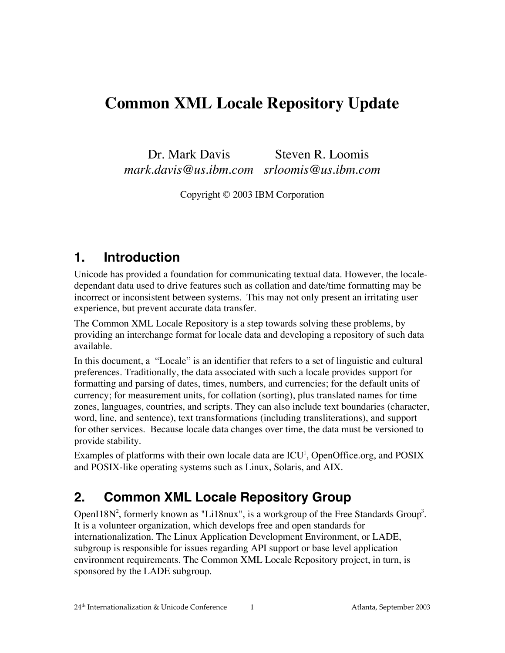# **Common XML Locale Repository Update**

Dr. Mark Davis *mark.davis@us.ibm.com srloomis@us.ibm.com* Steven R. Loomis

Copyright © 2003 IBM Corporation

## **1. Introduction**

Unicode has provided a foundation for communicating textual data. However, the localedependant data used to drive features such as collation and date/time formatting may be incorrect or inconsistent between systems. This may not only present an irritating user experience, but prevent accurate data transfer.

The Common XML Locale Repository is a step towards solving these problems, by providing an interchange format for locale data and developing a repository of such data available.

In this document, a "Locale" is an identifier that refers to a set of linguistic and cultural preferences. Traditionally, the data associated with such a locale provides support for formatting and parsing of dates, times, numbers, and currencies; for the default units of currency; for measurement units, for collation (sorting), plus translated names for time zones, languages, countries, and scripts. They can also include text boundaries (character, word, line, and sentence), text transformations (including transliterations), and support for other services. Because locale data changes over time, the data must be versioned to provide stability.

Examples of platforms with their own locale data are  $\mathrm{ICU}^1$ , OpenOffice.org, and POSIX and POSIX-like operating systems such as Linux, Solaris, and AIX.

# **2. Common XML Locale Repository Group**

OpenI18N<sup>2</sup>, formerly known as "Li18nux", is a workgroup of the Free Standards Group<sup>3</sup>. It is a volunteer organization, which develops free and open standards for internationalization. The Linux Application Development Environment, or LADE, subgroup is responsible for issues regarding API support or base level application environment requirements. The Common XML Locale Repository project, in turn, is sponsored by the LADE subgroup.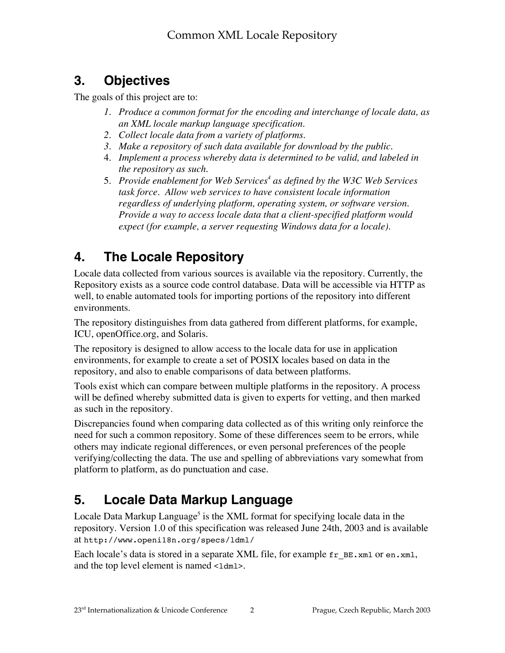# **3. Objectives**

The goals of this project are to:

- *1. Produce a common format for the encoding and interchange of locale data, as an XML locale markup language specification.*
- *2. Collect locale data from a variety of platforms.*
- *3. Make a repository of such data available for download by the public.*
- 4. *Implement a process whereby data is determined to be valid, and labeled in the repository as such.*
- 5. *Provide enablement for Web Services<sup>4</sup> as defined by the W3C Web Services task force. Allow web services to have consistent locale information regardless of underlying platform, operating system, or software version. Provide a way to access locale data that a client-specified platform would expect (for example, a server requesting Windows data for a locale).*

# **4. The Locale Repository**

Locale data collected from various sources is available via the repository. Currently, the Repository exists as a source code control database. Data will be accessible via HTTP as well, to enable automated tools for importing portions of the repository into different environments.

The repository distinguishes from data gathered from different platforms, for example, ICU, openOffice.org, and Solaris.

The repository is designed to allow access to the locale data for use in application environments, for example to create a set of POSIX locales based on data in the repository, and also to enable comparisons of data between platforms.

Tools exist which can compare between multiple platforms in the repository. A process will be defined whereby submitted data is given to experts for vetting, and then marked as such in the repository.

Discrepancies found when comparing data collected as of this writing only reinforce the need for such a common repository. Some of these differences seem to be errors, while others may indicate regional differences, or even personal preferences of the people verifying/collecting the data. The use and spelling of abbreviations vary somewhat from platform to platform, as do punctuation and case.

# **5. Locale Data Markup Language**

Locale Data Markup Language<sup>5</sup> is the XML format for specifying locale data in the repository. Version 1.0 of this specification was released June 24th, 2003 and is available at http://www.openi18n.org/specs/ldml/

Each locale's data is stored in a separate XML file, for example  $f_r$  BE.xml or en.xml, and the top level element is named  $\lt$ 1 dm 1>.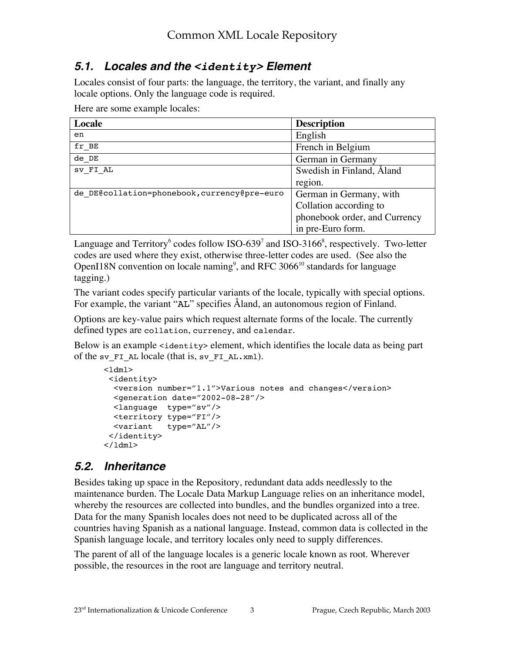### **5.1. Locales and the <identity> Element**

Locales consist of four parts: the language, the territory, the variant, and finally any locale options. Only the language code is required.

Here are some example locales:

| Locale                                       | <b>Description</b>            |
|----------------------------------------------|-------------------------------|
| en                                           | English                       |
| fr BE                                        | French in Belgium             |
| $de$ <sub>DE</sub>                           | German in Germany             |
| SV FI AL                                     | Swedish in Finland, Aland     |
|                                              | region.                       |
| de DE@collation=phonebook, currency@pre-euro | German in Germany, with       |
|                                              | Collation according to        |
|                                              | phonebook order, and Currency |
|                                              | in pre-Euro form.             |

Language and Territory<sup>6</sup> codes follow ISO-639<sup>7</sup> and ISO-3166<sup>8</sup>, respectively. Two-letter codes are used where they exist, otherwise three-letter codes are used. (See also the OpenI18N convention on locale naming<sup>9</sup>, and RFC 3066<sup>10</sup> standards for language tagging.)

The variant codes specify particular variants of the locale, typically with special options. For example, the variant "AL" specifies Åland, an autonomous region of Finland.

Options are key-value pairs which request alternate forms of the locale. The currently defined types are collation, currency, and calendar.

Below is an example <identity> element, which identifies the locale data as being part of the sv\_FI\_AL locale (that is, sv\_FI\_AL.xml).

```
<ldml>
  <identity>
   <version number="1.1">Various notes and changes</version>
   <generation date="2002-08-28"/>
   <language type="sv"/>
   <territory type="FI"/>
   <variant type="AL"/>
  </identity>
\langle/ldml\rangle
```
### **5.2. Inheritance**

Besides taking up space in the Repository, redundant data adds needlessly to the maintenance burden. The Locale Data Markup Language relies on an inheritance model, whereby the resources are collected into bundles, and the bundles organized into a tree. Data for the many Spanish locales does not need to be duplicated across all of the countries having Spanish as a national language. Instead, common data is collected in the Spanish language locale, and territory locales only need to supply differences.

The parent of all of the language locales is a generic locale known as root. Wherever possible, the resources in the root are language and territory neutral.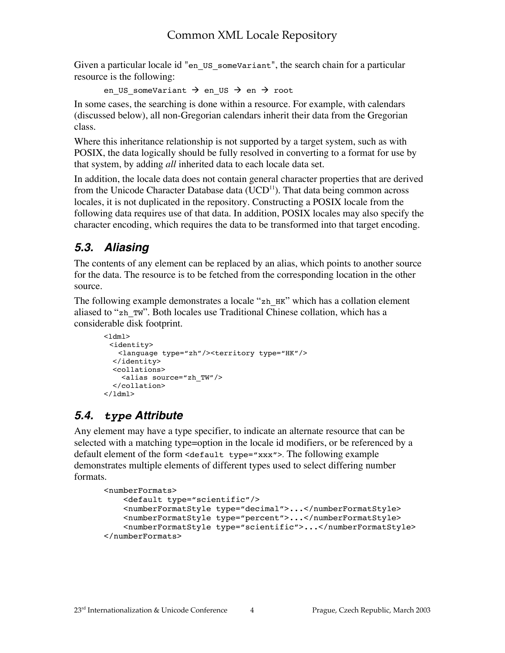Given a particular locale id "en\_US\_someVariant", the search chain for a particular resource is the following:

en US someVariant  $\rightarrow$  en US  $\rightarrow$  en  $\rightarrow$  root

In some cases, the searching is done within a resource. For example, with calendars (discussed below), all non-Gregorian calendars inherit their data from the Gregorian class.

Where this inheritance relationship is not supported by a target system, such as with POSIX, the data logically should be fully resolved in converting to a format for use by that system, by adding *all* inherited data to each locale data set.

In addition, the locale data does not contain general character properties that are derived from the Unicode Character Database data (UCD $^{11}$ ). That data being common across locales, it is not duplicated in the repository. Constructing a POSIX locale from the following data requires use of that data. In addition, POSIX locales may also specify the character encoding, which requires the data to be transformed into that target encoding.

# **5.3. Aliasing**

The contents of any element can be replaced by an alias, which points to another source for the data. The resource is to be fetched from the corresponding location in the other source.

The following example demonstrates a locale "zh\_HK" which has a collation element aliased to "zh\_TW". Both locales use Traditional Chinese collation, which has a considerable disk footprint.

```
<ldml> <identity>
    <language type="zh"/><territory type="HK"/>
   </identity>
   <collations>
     <alias source="zh_TW"/>
   </collation>
\langle/ldml>
```
# **5.4. type Attribute**

Any element may have a type specifier, to indicate an alternate resource that can be selected with a matching type=option in the locale id modifiers, or be referenced by a default element of the form <default type="xxx">. The following example demonstrates multiple elements of different types used to select differing number formats.

```
<numberFormats>
    <default type="scientific"/>
    <numberFormatStyle type="decimal">...</numberFormatStyle>
    <numberFormatStyle type="percent">...</numberFormatStyle>
     <numberFormatStyle type="scientific">...</numberFormatStyle>
</numberFormats>
```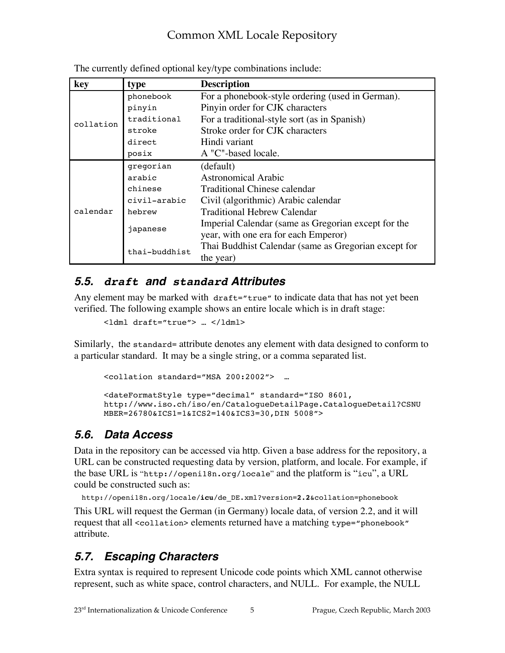| key       | type          | <b>Description</b>                                   |
|-----------|---------------|------------------------------------------------------|
| collation | phonebook     | For a phonebook-style ordering (used in German).     |
|           | pinyin        | Pinyin order for CJK characters                      |
|           | traditional   | For a traditional-style sort (as in Spanish)         |
|           | stroke        | Stroke order for CJK characters                      |
|           | direct        | Hindi variant                                        |
|           | posix         | A "C"-based locale.                                  |
| calendar  | gregorian     | (default)                                            |
|           | arabic        | Astronomical Arabic                                  |
|           | chinese       | Traditional Chinese calendar                         |
|           | civil-arabic  | Civil (algorithmic) Arabic calendar                  |
|           | hebrew        | Traditional Hebrew Calendar                          |
|           | japanese      | Imperial Calendar (same as Gregorian except for the  |
|           |               | year, with one era for each Emperor)                 |
|           | thai-buddhist | Thai Buddhist Calendar (same as Gregorian except for |
|           |               | the year)                                            |

The currently defined optional key/type combinations include:

### **5.5. draft and standard Attributes**

Any element may be marked with draft="true" to indicate data that has not yet been verified. The following example shows an entire locale which is in draft stage:

```
<ldml draft="true"> … </ldml>
```
Similarly, the standard= attribute denotes any element with data designed to conform to a particular standard. It may be a single string, or a comma separated list.

```
<collation standard="MSA 200:2002"> …
<dateFormatStyle type="decimal" standard="ISO 8601,
http://www.iso.ch/iso/en/CatalogueDetailPage.CatalogueDetail?CSNU
MBER=26780&ICS1=1&ICS2=140&ICS3=30,DIN 5008">
```
## **5.6. Data Access**

Data in the repository can be accessed via http. Given a base address for the repository, a URL can be constructed requesting data by version, platform, and locale. For example, if the base URL is "http://openi18n.org/locale" and the platform is "icu", a URL could be constructed such as:

```
http://openi18n.org/locale/icu/de_DE.xml?version=2.2&collation=phonebook
```
This URL will request the German (in Germany) locale data, of version 2.2, and it will request that all <collation> elements returned have a matching type="phonebook" attribute.

# **5.7. Escaping Characters**

Extra syntax is required to represent Unicode code points which XML cannot otherwise represent, such as white space, control characters, and NULL. For example, the NULL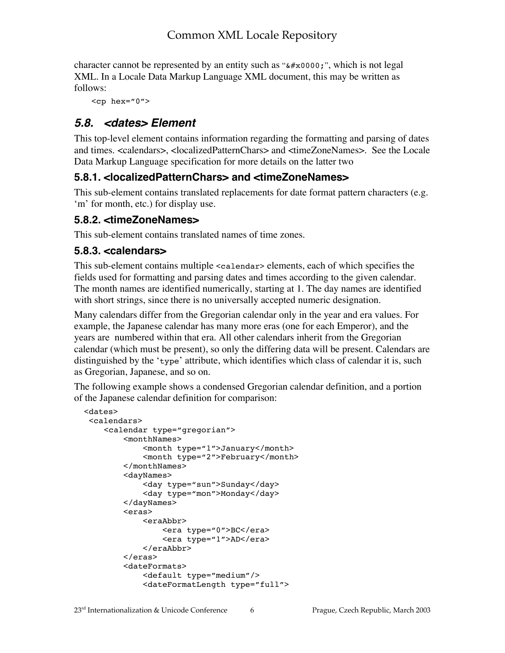character cannot be represented by an entity such as " $\&\#x0000;$ ", which is not legal XML. In a Locale Data Markup Language XML document, this may be written as follows:

 $<$ cp hex="0">

### **5.8. <dates> Element**

This top-level element contains information regarding the formatting and parsing of dates and times. <calendars>, <localizedPatternChars> and <timeZoneNames>. See the Locale Data Markup Language specification for more details on the latter two

#### **5.8.1. <localizedPatternChars> and <timeZoneNames>**

This sub-element contains translated replacements for date format pattern characters (e.g. 'm' for month, etc.) for display use.

#### **5.8.2. <timeZoneNames>**

This sub-element contains translated names of time zones.

#### **5.8.3. <calendars>**

This sub-element contains multiple <calendar> elements, each of which specifies the fields used for formatting and parsing dates and times according to the given calendar. The month names are identified numerically, starting at 1. The day names are identified with short strings, since there is no universally accepted numeric designation.

Many calendars differ from the Gregorian calendar only in the year and era values. For example, the Japanese calendar has many more eras (one for each Emperor), and the years are numbered within that era. All other calendars inherit from the Gregorian calendar (which must be present), so only the differing data will be present. Calendars are distinguished by the 'type' attribute, which identifies which class of calendar it is, such as Gregorian, Japanese, and so on.

The following example shows a condensed Gregorian calendar definition, and a portion of the Japanese calendar definition for comparison:

```
 <dates>
 <calendars>
    <calendar type="gregorian">
         <monthNames>
              <month type="1">January</month>
              <month type="2">February</month>
         </monthNames>
         <dayNames>
              <day type="sun">Sunday</day>
              <day type="mon">Monday</day>
         </dayNames>
         <eras>
             <eraAbbr>
                  <era type="0">BC</era>
                  <era type="1">AD</era>
             </eraAbbr>
         </eras>
         <dateFormats>
             <default type="medium"/>
              <dateFormatLength type="full">
```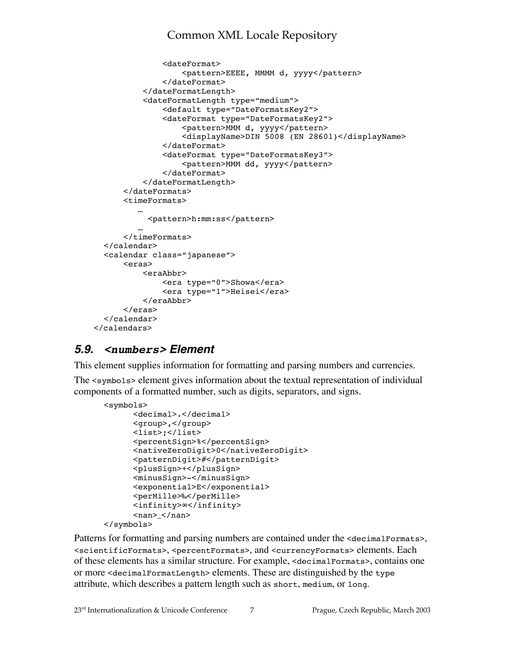```
 <dateFormat>
                    <pattern>EEEE, MMMM d, yyyy</pattern>
               </dateFormat>
           </dateFormatLength>
           <dateFormatLength type="medium">
               <default type="DateFormatsKey2">
               <dateFormat type="DateFormatsKey2">
                    <pattern>MMM d, yyyy</pattern>
                    <displayName>DIN 5008 (EN 28601)</displayName>
               </dateFormat>
               <dateFormat type="DateFormatsKey3">
                    <pattern>MMM dd, yyyy</pattern>
               </dateFormat>
           </dateFormatLength>
       </dateFormats>
       <timeFormats>
   …
            <pattern>h:mm:ss</pattern>
   …
       </timeFormats>
  </calendar>
  <calendar class="japanese">
       <eras>
           <eraAbbr>
               <era type="0">Showa</era>
               <era type="1">Heisei</era>
           </eraAbbr>
       </eras>
  </calendar>
 </calendars>
```
### **5.9. <numbers> Element**

This element supplies information for formatting and parsing numbers and currencies.

The <symbols> element gives information about the textual representation of individual components of a formatted number, such as digits, separators, and signs.

```
<symbols>
       <decimal>.</decimal>
       <group>,</group>
       <list>;</list>
       <percentSign>%</percentSign>
       <nativeZeroDigit>0</nativeZeroDigit>
       <patternDigit>#</patternDigit>
       <plusSign>+</plusSign>
       <minusSign>-</minusSign>
       <exponential>E</exponential>
       <perMille>‰</perMille>
       <infinity>∞</infinity>
      <nan> </nan></symbols>
```
Patterns for formatting and parsing numbers are contained under the <decimalFormats>, <scientificFormats>, <percentFormats>, and <currencyFormats> elements. Each of these elements has a similar structure. For example, <decimalFormats>, contains one or more <decimalFormatLength> elements. These are distinguished by the type attribute, which describes a pattern length such as short, medium, or long.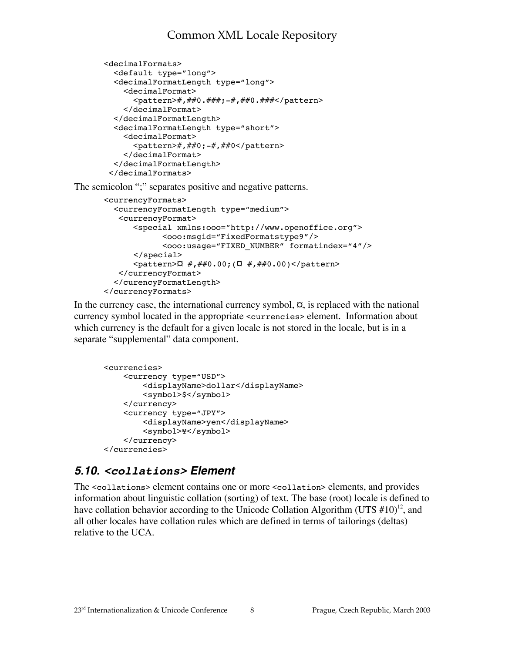```
<decimalFormats>
   <default type="long">
   <decimalFormatLength type="long">
     <decimalFormat>
      <pattern>#,##0.###;-#,##0.###</pattern>
     </decimalFormat>
  </decimalFormatLength>
  <decimalFormatLength"type="short">
     <decimalFormat>
       <pattern>#,##0;-#,##0</pattern>
     </decimalFormat>
   </decimalFormatLength>
 </decimalFormats>
```
The semicolon ";" separates positive and negative patterns.

```
<currencyFormats>
  <currencyFormatLength"type="medium">
    <currencyFormat>
       <special xmlns:ooo="http://www.openoffice.org">
              <ooo:msgid="FixedFormatstype9"/>
              <ooo:usage="FIXED_NUMBER""formatindex="4"/>
      </special>
      \frac{1}{2} <pattern>\alpha" #,##0.00;(\alpha" #,##0.00)</pattern>
    </currencyFormat>
   </curencyFormatLength>
</currencyFormats>
```
In the currency case, the international currency symbol,  $\alpha$ , is replaced with the national currency symbol located in the appropriate <currencies> element. Information about which currency is the default for a given locale is not stored in the locale, but is in a separate "supplemental" data component.

```
<currencies>
    <currency" type="USD">
         <displayName>dollar</displayName>
         <symbol>$</symbol>
     </currency>
     <currency"type="JPY">
         <displayName>yen</displayName>
         <symbol>¥</symbol>
     </currency>
</currencies>
```
### **5.10. <collations> Element**

The <collations> element contains one or more <collation> elements, and provides information about linguistic collation (sorting) of text. The base (root) locale is defined to have collation behavior according to the Unicode Collation Algorithm (UTS  $\#10$ )<sup>12</sup>, and all other locales have collation rules which are defined in terms of tailorings (deltas) relative to the UCA.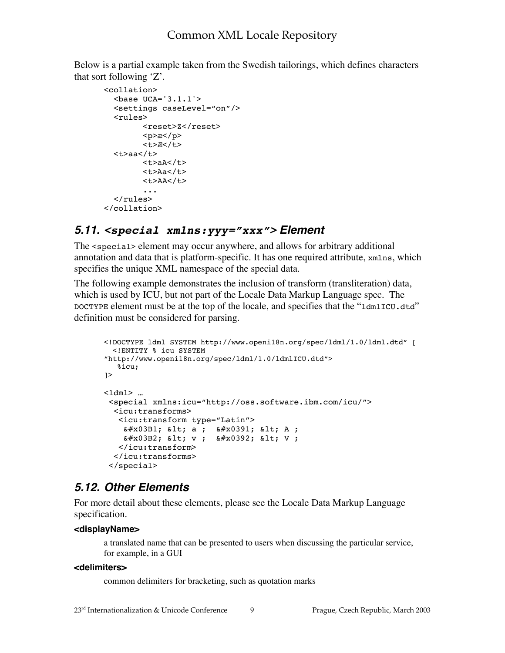Below is a partial example taken from the Swedish tailorings, which defines characters that sort following 'Z'.

```
<collation>
  <base UCA='3.1.1'>
" <settings caseLevel="on"/>
" <rules>
          <reset>Z</reset>
        <p>ae</p><p> <t>Æ</t>
   <t>aa</t>
          <t>aA</t>
          <t>Aa</t>
          <t>AA</t>
 ...
  \langlerules\rangle</collation>
```
#### **5.11. <special xmlns:yyy="xxx"> Element**

The <special> element may occur anywhere, and allows for arbitrary additional annotation and data that is platform-specific. It has one required attribute, xmlns, which specifies the unique XML namespace of the special data.

The following example demonstrates the inclusion of transform (transliteration) data, which is used by ICU, but not part of the Locale Data Markup Language spec. The DOCTYPE element must be at the top of the locale, and specifies that the "ldmlICU.dtd" definition must be considered for parsing.

```
<!DOCTYPE ldml SYSTEM http://www.openi18n.org/spec/ldml/1.0/ldml.dtd" [
   <!ENTITY % icu SYSTEM
"http://www.openi18n.org/spec/ldml/1.0/ldmlICU.dtd">
    %icu;
\geq<ldml> ...
  <special xmlns:icu="http://oss.software.ibm.com/icu/">
   <icu:transforms>
    <icu:transform type="Latin">
    x \# x 03B1; x 1; a ; x \# x 0391; x 1; A ;
    & #x03B2; & 1t; v; & #x0392; & 1t; V;
    </icu:transform>
   </icu:transforms>
  </special>
```
#### **5.12. Other Elements**

For more detail about these elements, please see the Locale Data Markup Language specification.

#### **<displayName>**

a translated name that can be presented to users when discussing the particular service, for example, in a GUI

#### **<delimiters>**

common delimiters for bracketing, such as quotation marks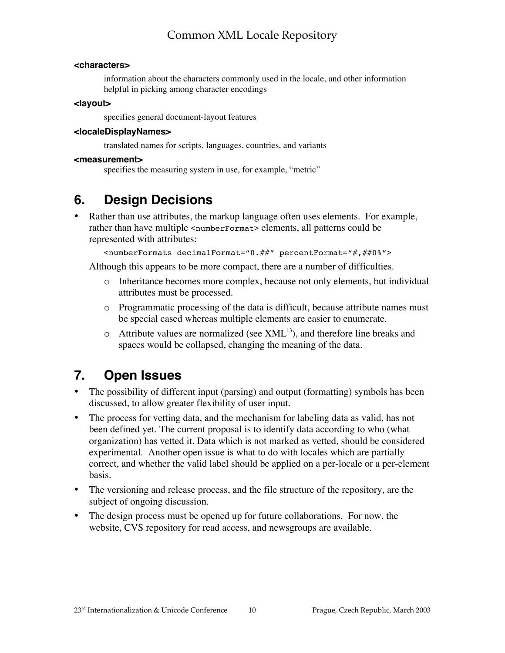#### **<characters>**

information about the characters commonly used in the locale, and other information helpful in picking among character encodings

#### **<layout>**

specifies general document-layout features

#### **<localeDisplayNames>**

translated names for scripts, languages, countries, and variants

#### **<measurement>**

specifies the measuring system in use, for example, "metric"

# **6. Design Decisions**

Rather than use attributes, the markup language often uses elements. For example, rather than have multiple <numberFormat> elements, all patterns could be represented with attributes:

<numberFormats decimalFormat="0.##" percentFormat="#,##0%">

Although this appears to be more compact, there are a number of difficulties.

- o Inheritance becomes more complex, because not only elements, but individual attributes must be processed.
- o Programmatic processing of the data is difficult, because attribute names must be special cased whereas multiple elements are easier to enumerate.
- $\circ$  Attribute values are normalized (see XML<sup>13</sup>), and therefore line breaks and spaces would be collapsed, changing the meaning of the data.

# **7. Open Issues**

The possibility of different input (parsing) and output (formatting) symbols has been discussed, to allow greater flexibility of user input.

The process for vetting data, and the mechanism for labeling data as valid, has not been defined yet. The current proposal is to identify data according to who (what organization) has vetted it. Data which is not marked as vetted, should be considered experimental. Another open issue is what to do with locales which are partially correct, and whether the valid label should be applied on a per-locale or a per-element basis.

The versioning and release process, and the file structure of the repository, are the subject of ongoing discussion.

The design process must be opened up for future collaborations. For now, the website, CVS repository for read access, and newsgroups are available.